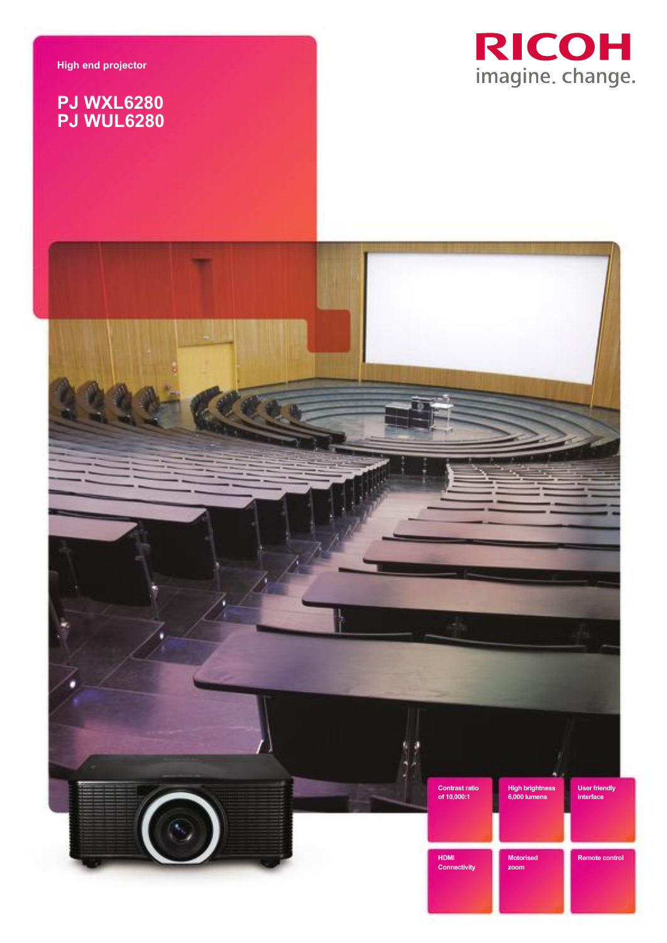**High end projector**

## **PJ WXL6280 PJ WUL6280**



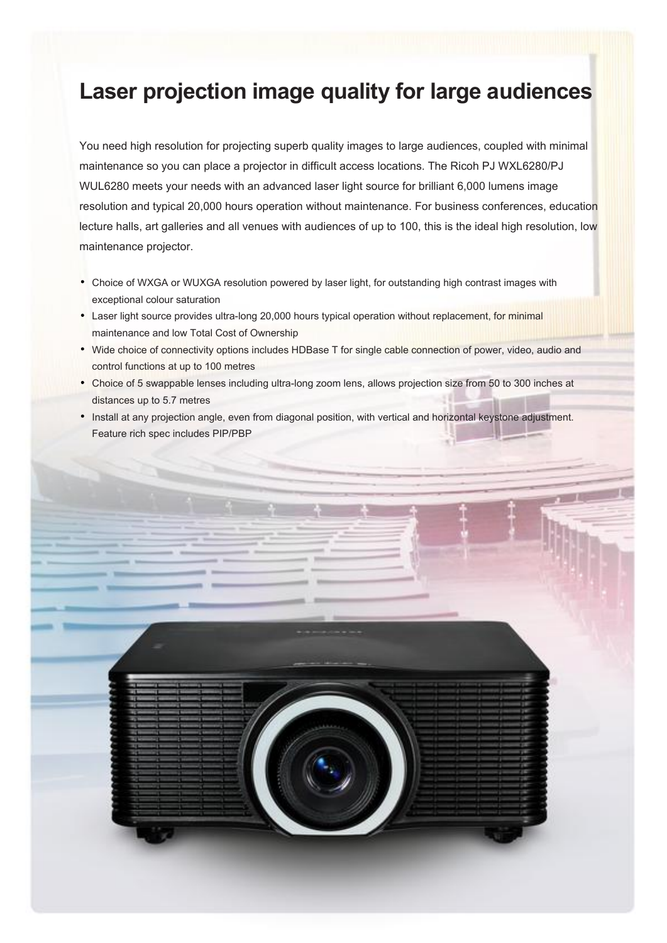# **Laser projection image quality for large audiences**

You need high resolution for projecting superb quality images to large audiences, coupled with minimal maintenance so you can place a projector in difficult access locations. The Ricoh PJ WXL6280/PJ WUL6280 meets your needs with an advanced laser light source for brilliant 6,000 lumens image resolution and typical 20,000 hours operation without maintenance. For business conferences, education lecture halls, art galleries and all venues with audiences of up to 100, this is the ideal high resolution, low maintenance projector.

- Choice of WXGA or WUXGA resolution powered by laser light, for outstanding high contrast images with exceptional colour saturation
- Laser light source provides ultra-long 20,000 hours typical operation without replacement, for minimal maintenance and low Total Cost of Ownership
- Wide choice of connectivity options includes HDBase T for single cable connection of power, video, audio and control functions at up to 100 metres
- Choice of 5 swappable lenses including ultra-long zoom lens, allows projection size from 50 to 300 inches at distances up to 5.7 metres
- Install at any projection angle, even from diagonal position, with vertical and horizontal keystone adjustment. Feature rich spec includes PIP/PBP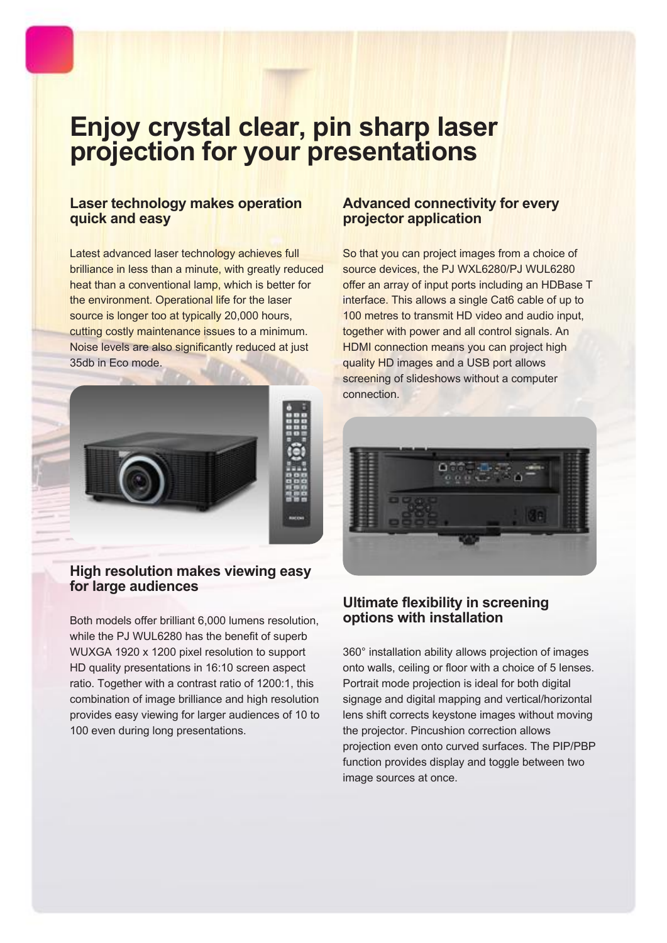# **Enjoy crystal clear, pin sharp laser projection for your presentations**

### **Laser technology makes operation quick and easy**

Latest advanced laser technology achieves full brilliance in less than a minute, with greatly reduced heat than a conventional lamp, which is better for the environment. Operational life for the laser source is longer too at typically 20,000 hours, cutting costly maintenance issues to a minimum. Noise levels are also significantly reduced at just 35db in Eco mode.

![](_page_2_Picture_3.jpeg)

#### **High resolution makes viewing easy for large audiences**

Both models offer brilliant 6,000 lumens resolution, while the PJ WUL6280 has the benefit of superb WUXGA 1920 x 1200 pixel resolution to support HD quality presentations in 16:10 screen aspect ratio. Together with a contrast ratio of 1200:1, this combination of image brilliance and high resolution provides easy viewing for larger audiences of 10 to 100 even during long presentations.

## **Advanced connectivity for every projector application**

So that you can project images from a choice of source devices, the PJ WXL6280/PJ WUL6280 offer an array of input ports including an HDBase T interface. This allows a single Cat6 cable of up to 100 metres to transmit HD video and audio input, together with power and all control signals. An HDMI connection means you can project high quality HD images and a USB port allows screening of slideshows without a computer connection.

![](_page_2_Picture_8.jpeg)

## **Ultimate flexibility in screening options with installation**

360° installation ability allows projection of images onto walls, ceiling or floor with a choice of 5 lenses. Portrait mode projection is ideal for both digital signage and digital mapping and vertical/horizontal lens shift corrects keystone images without moving the projector. Pincushion correction allows projection even onto curved surfaces. The PIP/PBP function provides display and toggle between two image sources at once.